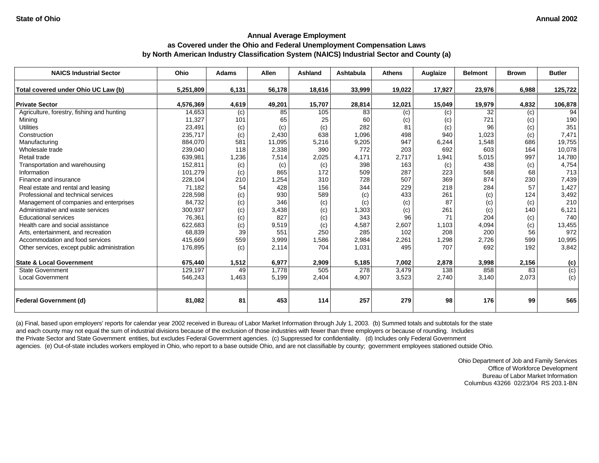| <b>NAICS Industrial Sector</b>                | Ohio               | <b>Adams</b> | <b>Allen</b>    | Ashland       | Ashtabula    | <b>Athens</b> | Auglaize   | <b>Belmont</b>            | <b>Brown</b> | <b>Butler</b> |
|-----------------------------------------------|--------------------|--------------|-----------------|---------------|--------------|---------------|------------|---------------------------|--------------|---------------|
| Total covered under Ohio UC Law (b)           | 5,251,809          | 6,131        | 56,178          | 18,616        | 33,999       | 19,022        | 17,927     | 23,976                    | 6,988        | 125,722       |
| <b>Private Sector</b>                         | 4,576,369          |              |                 |               |              |               |            |                           |              |               |
| Agriculture, forestry, fishing and hunting    | 14,653             | 4,619        | 49,201<br>85    | 15,707<br>105 | 28,814<br>83 | 12,021        | 15,049     | 19,979<br>$\overline{32}$ | 4,832        | 106,878<br>94 |
| Mining                                        |                    | (c)<br>101   | 65              | 25            | 60           | (c)           | (c)        | 721                       | (c)          | 190           |
| <b>Utilities</b>                              | 11,327<br>23,491   |              |                 | (c)           | 282          | (c)<br>81     | (c)        | 96                        | (c)          | 351           |
| Construction                                  |                    | (c)          | (c)             | 638           |              | 498           | (c)<br>940 |                           | (c)          | 7,471         |
|                                               | 235,717<br>884,070 | (c)<br>581   | 2,430<br>11,095 | 5,216         | 1,096        | 947           | 6,244      | 1,023<br>1,548            | (c)<br>686   | 19,755        |
| Manufacturing<br>Wholesale trade              |                    | 118          |                 | 390           | 9,205<br>772 | 203           | 692        | 603                       | 164          |               |
|                                               | 239,040            |              | 2,338           |               |              |               |            |                           |              | 10,078        |
| Retail trade                                  | 639,981            | 1,236        | 7,514           | 2,025         | 4,171        | 2,717         | 1,941      | 5,015                     | 997          | 14,780        |
| Transportation and warehousing<br>Information | 152,811            | (c)          | (c)             | (c)           | 398          | 163           | (c)        | 438                       | (c)          | 4,754         |
|                                               | 101,279            | (c)          | 865             | 172           | 509          | 287           | 223        | 568<br>874                | 68           | 713           |
| Finance and insurance                         | 228,104            | 210          | 1,254           | 310           | 728          | 507           | 369        |                           | 230          | 7,439         |
| Real estate and rental and leasing            | 71,182             | 54           | 428             | 156           | 344          | 229           | 218        | 284                       | 57           | 1,427         |
| Professional and technical services           | 228,598            | (c)          | 930             | 589           | (c)          | 433           | 261        | (c)                       | 124          | 3,492         |
| Management of companies and enterprises       | 84,732             | (c)          | 346             | (c)           | (c)          | (c)           | 87         | (c)                       | (c)          | 210           |
| Administrative and waste services             | 300,937            | (c)          | 3,438           | (c)           | 1,303        | (c)           | 261        | (c)                       | 140          | 6,121         |
| <b>Educational services</b>                   | 76,361             | (c)          | 827             | (c)           | 343          | 96            | 71         | 204                       | (c)          | 740           |
| Health care and social assistance             | 622,683            | (c)          | 9,519           | (c)           | 4,587        | 2,607         | 1,103      | 4,094                     | (c)          | 13,455        |
| Arts, entertainment, and recreation           | 68,839             | 39           | 551             | 250           | 285          | 102           | 208        | 200                       | 56           | 972           |
| Accommodation and food services               | 415,669            | 559          | 3,999           | 1,586         | 2,984        | 2,261         | 1,298      | 2,726                     | 599          | 10,995        |
| Other services, except public administration  | 176,895            | (c)          | 2,114           | 704           | 1,031        | 495           | 707        | 692                       | 192          | 3,842         |
| <b>State &amp; Local Government</b>           | 675,440            | 1,512        | 6,977           | 2,909         | 5,185        | 7,002         | 2,878      | 3,998                     | 2,156        | (c)           |
| <b>State Government</b>                       | 129,197            | 49           | 1,778           | 505           | 278          | 3,479         | 138        | 858                       | 83           | (c)           |
| <b>Local Government</b>                       | 546,243            | 1,463        | 5,199           | 2,404         | 4,907        | 3,523         | 2,740      | 3,140                     | 2,073        | (c)           |
| <b>Federal Government (d)</b>                 | 81,082             | 81           | 453             | 114           | 257          | 279           | 98         | 176                       | 99           | 565           |

(a) Final, based upon employers' reports for calendar year 2002 received in Bureau of Labor Market Information through July 1, 2003. (b) Summed totals and subtotals for the state and each county may not equal the sum of industrial divisions because of the exclusion of those industries with fewer than three employers or because of rounding. Includes the Private Sector and State Government entities, but excludes Federal Government agencies. (c) Suppressed for confidentiality. (d) Includes only Federal Government agencies. (e) Out-of-state includes workers employed in Ohio, who report to a base outside Ohio, and are not classifiable by county; government employees stationed outside Ohio.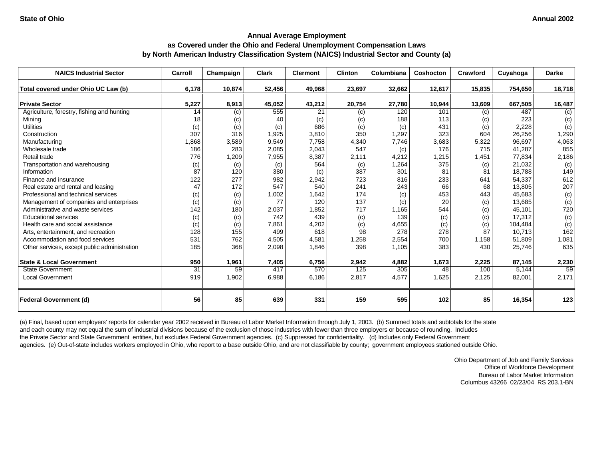| <b>NAICS Industrial Sector</b>               | Carroll | Champaign | <b>Clark</b> | <b>Clermont</b> | <b>Clinton</b> | Columbiana | Coshocton | Crawford | Cuyahoga | <b>Darke</b> |
|----------------------------------------------|---------|-----------|--------------|-----------------|----------------|------------|-----------|----------|----------|--------------|
| Total covered under Ohio UC Law (b)          | 6,178   | 10,874    | 52,456       | 49,968          | 23,697         | 32,662     | 12,617    | 15,835   | 754,650  | 18,718       |
| <b>Private Sector</b>                        | 5,227   | 8,913     | 45,052       | 43,212          | 20,754         | 27,780     | 10,944    | 13,609   | 667,505  | 16,487       |
| Agriculture, forestry, fishing and hunting   | 14      | (c)       | 555          | 21              | (c)            | 120        | 101       | (c)      | 487      | (c)          |
| Mining                                       | 18      | (c)       | 40           | (c)             | (c)            | 188        | 113       | (c)      | 223      | (c)          |
| <b>Utilities</b>                             | (c)     | (c)       | (c)          | 686             | (c)            | (c)        | 431       | (c)      | 2,228    | (c)          |
| Construction                                 | 307     | 316       | 1,925        | 3,810           | 350            | 1,297      | 323       | 604      | 26,256   | 1,290        |
| Manufacturing                                | 1,868   | 3,589     | 9,549        | 7,758           | 4,340          | 7,746      | 3,683     | 5,322    | 96,697   | 4,063        |
| Wholesale trade                              | 186     | 283       | 2,085        | 2,043           | 547            | (c)        | 176       | 715      | 41,287   | 855          |
| Retail trade                                 | 776     | 1,209     | 7,955        | 8,387           | 2,111          | 4,212      | 1,215     | 1,451    | 77,834   | 2,186        |
| Transportation and warehousing               | (c)     | (c)       | (c)          | 564             | (c)            | 1,264      | 375       | (c)      | 21,032   | (c)          |
| Information                                  | 87      | 120       | 380          | (c)             | 387            | 301        | 81        | 81       | 18,788   | 149          |
| Finance and insurance                        | 122     | 277       | 982          | 2,942           | 723            | 816        | 233       | 641      | 54,337   | 612          |
| Real estate and rental and leasing           | 47      | 172       | 547          | 540             | 241            | 243        | 66        | 68       | 13,805   | 207          |
| Professional and technical services          | (c)     | (c)       | 1,002        | 1,642           | 174            | (c)        | 453       | 443      | 45.683   | (c)          |
| Management of companies and enterprises      | (c)     | (c)       | 77           | 120             | 137            | (c)        | 20        | (c)      | 13,685   | (c)          |
| Administrative and waste services            | 142     | 180       | 2,037        | 1,852           | 717            | 1,165      | 544       | (c)      | 45,101   | 720          |
| <b>Educational services</b>                  | (c)     | (c)       | 742          | 439             | (c)            | 139        | (c)       | (c)      | 17,312   | (c)          |
| Health care and social assistance            | (c)     | (c)       | 7,861        | 4,202           | (c)            | 4,655      | (c)       | (c)      | 104,484  | (c)          |
| Arts, entertainment, and recreation          | 128     | 155       | 499          | 618             | 98             | 278        | 278       | 87       | 10,713   | 162          |
| Accommodation and food services              | 531     | 762       | 4,505        | 4,581           | 1,258          | 2,554      | 700       | 1,158    | 51,809   | 1,081        |
| Other services, except public administration | 185     | 368       | 2,098        | 1,846           | 398            | 1,105      | 383       | 430      | 25,746   | 635          |
| <b>State &amp; Local Government</b>          | 950     | 1,961     | 7,405        | 6,756           | 2,942          | 4,882      | 1,673     | 2,225    | 87,145   | 2,230        |
| <b>State Government</b>                      | 31      | 59        | 417          | 570             | 125            | 305        | 48        | 100      | 5.144    | 59           |
| <b>Local Government</b>                      | 919     | 1,902     | 6,988        | 6,186           | 2,817          | 4,577      | 1,625     | 2,125    | 82,001   | 2,171        |
| <b>Federal Government (d)</b>                | 56      | 85        | 639          | 331             | 159            | 595        | 102       | 85       | 16,354   | 123          |

(a) Final, based upon employers' reports for calendar year 2002 received in Bureau of Labor Market Information through July 1, 2003. (b) Summed totals and subtotals for the state and each county may not equal the sum of industrial divisions because of the exclusion of those industries with fewer than three employers or because of rounding. Includes the Private Sector and State Government entities, but excludes Federal Government agencies. (c) Suppressed for confidentiality. (d) Includes only Federal Government agencies. (e) Out-of-state includes workers employed in Ohio, who report to a base outside Ohio, and are not classifiable by county; government employees stationed outside Ohio.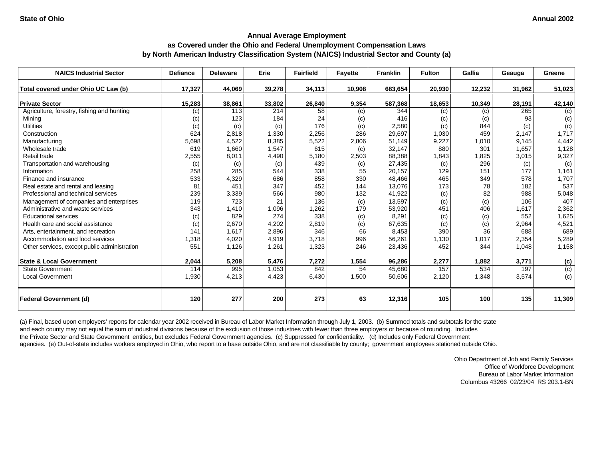| <b>NAICS Industrial Sector</b>               | <b>Defiance</b> | <b>Delaware</b> | Erie   | <b>Fairfield</b> | <b>Fayette</b> | <b>Franklin</b> | <b>Fulton</b> | Gallia | Geauga | Greene           |
|----------------------------------------------|-----------------|-----------------|--------|------------------|----------------|-----------------|---------------|--------|--------|------------------|
| Total covered under Ohio UC Law (b)          | 17,327          | 44,069          | 39,278 | 34,113           | 10,908         | 683,654         | 20,930        | 12,232 | 31,962 | 51,023           |
| <b>Private Sector</b>                        | 15,283          | 38,861          | 33,802 | 26,840           | 9,354          | 587,368         | 18,653        | 10,349 | 28,191 | 42,140           |
| Agriculture, forestry, fishing and hunting   | (c)             | 113             | 214    | 58               | (c)            | 344             | (c)           | (c)    | 265    | (c)              |
| Mining                                       | (c)             | 123             | 184    | 24               | (c)            | 416             | (c)           | (c)    | 93     | (c)              |
| <b>Utilities</b>                             | (c)             | (c)             | (c)    | 176              | (c)            | 2,580           | (c)           | 844    | (c)    | (c)              |
| Construction                                 | 624             | 2,818           | 1,330  | 2,256            | 286            | 29,697          | 1,030         | 459    | 2,147  | 1,717            |
| Manufacturing                                | 5,698           | 4,522           | 8,385  | 5,522            | 2,806          | 51,149          | 9,227         | 1,010  | 9,145  | 4,442            |
| Wholesale trade                              | 619             | 1,660           | 1,547  | 615              | (c)            | 32,147          | 880           | 301    | 1,657  | 1,128            |
| Retail trade                                 | 2,555           | 8,011           | 4,490  | 5,180            | 2,503          | 88,388          | 1,843         | 1,825  | 3,015  | 9,327            |
| Transportation and warehousing               | (c)             | (c)             | (c)    | 439              | (c)            | 27,435          | (c)           | 296    | (c)    | (c)              |
| Information                                  | 258             | 285             | 544    | 338              | 55             | 20,157          | 129           | 151    | 177    | 1,161            |
| Finance and insurance                        | 533             | 4,329           | 686    | 858              | 330            | 48,466          | 465           | 349    | 578    | 1,707            |
| Real estate and rental and leasing           | 81              | 451             | 347    | 452              | 144            | 13,076          | 173           | 78     | 182    | 537              |
| Professional and technical services          | 239             | 3,339           | 566    | 980              | 132            | 41,922          | (c)           | 82     | 988    | 5,048            |
| Management of companies and enterprises      | 119             | 723             | 21     | 136              | (c)            | 13,597          | (c)           | (c)    | 106    | 407              |
| Administrative and waste services            | 343             | 1,410           | 1,096  | 1,262            | 179            | 53,920          | 451           | 406    | 1,617  | 2,362            |
| <b>Educational services</b>                  | (c)             | 829             | 274    | 338              | (c)            | 8,291           | (c)           | (c)    | 552    | 1,625            |
| Health care and social assistance            | (c)             | 2,670           | 4,202  | 2,819            | (c)            | 67,635          | (c)           | (c)    | 2,964  | 4,521            |
| Arts, entertainment, and recreation          | 141             | 1,617           | 2,896  | 346              | 66             | 8,453           | 390           | 36     | 688    | 689              |
| Accommodation and food services              | 1,318           | 4,020           | 4,919  | 3,718            | 996            | 56,261          | 1,130         | 1,017  | 2,354  | 5,289            |
| Other services, except public administration | 551             | 1,126           | 1,261  | 1,323            | 246            | 23,436          | 452           | 344    | 1,048  | 1,158            |
|                                              |                 |                 |        |                  |                |                 |               |        |        |                  |
| <b>State &amp; Local Government</b>          | 2,044           | 5,208           | 5,476  | 7,272            | 1,554          | 96,286          | 2,277         | 1,882  | 3,771  | (c)              |
| <b>State Government</b>                      | 114             | 995             | 1,053  | 842              | 54             | 45,680          | 157           | 534    | 197    | $\overline{(c)}$ |
| <b>Local Government</b>                      | 1,930           | 4,213           | 4,423  | 6,430            | 1,500          | 50,606          | 2,120         | 1,348  | 3,574  | (c)              |
| <b>Federal Government (d)</b>                | 120             | 277             | 200    | 273              | 63             | 12,316          | 105           | 100    | 135    | 11,309           |

(a) Final, based upon employers' reports for calendar year 2002 received in Bureau of Labor Market Information through July 1, 2003. (b) Summed totals and subtotals for the state and each county may not equal the sum of industrial divisions because of the exclusion of those industries with fewer than three employers or because of rounding. Includes the Private Sector and State Government entities, but excludes Federal Government agencies. (c) Suppressed for confidentiality. (d) Includes only Federal Government agencies. (e) Out-of-state includes workers employed in Ohio, who report to a base outside Ohio, and are not classifiable by county; government employees stationed outside Ohio.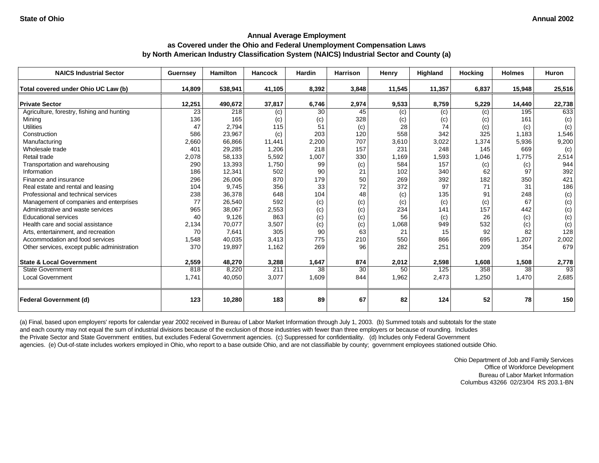| <b>NAICS Industrial Sector</b>               | Guernsey | <b>Hamilton</b> | Hancock | Hardin | <b>Harrison</b> | Henry  | Highland | Hocking | <b>Holmes</b> | <b>Huron</b> |
|----------------------------------------------|----------|-----------------|---------|--------|-----------------|--------|----------|---------|---------------|--------------|
| Total covered under Ohio UC Law (b)          | 14,809   | 538,941         | 41,105  | 8,392  | 3,848           | 11,545 | 11,357   | 6,837   | 15,948        | 25,516       |
|                                              |          |                 |         |        |                 |        |          |         |               |              |
| <b>Private Sector</b>                        | 12,251   | 490,672         | 37,817  | 6,746  | 2,974           | 9,533  | 8,759    | 5,229   | 14,440        | 22,738       |
| Agriculture, forestry, fishing and hunting   | 23       | 218             | (c)     | 30     | 45              | (c)    | (c)      | (c)     | 195           | 633          |
| Mining                                       | 136      | 165             | (c)     | (c)    | 328             | (c)    | (c)      | (c)     | 161           | (c)          |
| <b>Utilities</b>                             | 47       | 2.794           | 115     | 51     | (c)             | 28     | 74       | (c)     | (c)           | (c)          |
| Construction                                 | 586      | 23,967          | (c)     | 203    | 120             | 558    | 342      | 325     | 1.183         | 1,546        |
| Manufacturing                                | 2,660    | 66,866          | 11,441  | 2,200  | 707             | 3,610  | 3,022    | 1,374   | 5,936         | 9,200        |
| Wholesale trade                              | 401      | 29,285          | 1,206   | 218    | 157             | 231    | 248      | 145     | 669           | (c)          |
| Retail trade                                 | 2,078    | 58,133          | 5,592   | 1,007  | 330             | 1,169  | 1,593    | 1,046   | 1,775         | 2,514        |
| Transportation and warehousing               | 290      | 13,393          | 1,750   | 99     | (c)             | 584    | 157      | (c)     | (c)           | 944          |
| Information                                  | 186      | 12,341          | 502     | 90     | 21              | 102    | 340      | 62      | 97            | 392          |
| Finance and insurance                        | 296      | 26,006          | 870     | 179    | 50              | 269    | 392      | 182     | 350           | 421          |
| Real estate and rental and leasing           | 104      | 9.745           | 356     | 33     | 72              | 372    | 97       | 71      | 31            | 186          |
| Professional and technical services          | 238      | 36,378          | 648     | 104    | 48              | (c)    | 135      | 91      | 248           | (c)          |
| Management of companies and enterprises      | 77       | 26,540          | 592     | (c)    | (c)             | (c)    | (c)      | (c)     | 67            | (c)          |
| Administrative and waste services            | 965      | 38,067          | 2,553   | (c)    | (c)             | 234    | 141      | 157     | 442           | (c)          |
| <b>Educational services</b>                  | 40       | 9,126           | 863     | (c)    | (c)             | 56     | (c)      | 26      | (c)           | (c)          |
| Health care and social assistance            | 2,134    | 70,077          | 3,507   | (c)    | (c)             | 1,068  | 949      | 532     | (c)           | (c)          |
| Arts, entertainment, and recreation          | 70       | 7,641           | 305     | 90     | 63              | 21     | 15       | 92      | 82            | 128          |
| Accommodation and food services              | 1,548    | 40,035          | 3,413   | 775    | 210             | 550    | 866      | 695     | 1,207         | 2,002        |
| Other services, except public administration | 370      | 19,897          | 1,162   | 269    | 96              | 282    | 251      | 209     | 354           | 679          |
| <b>State &amp; Local Government</b>          | 2,559    | 48,270          | 3,288   | 1,647  | 874             | 2,012  | 2,598    | 1,608   | 1,508         | 2,778        |
| <b>State Government</b>                      | 818      | 8,220           | 211     | 38     | 30              | 50     | 125      | 358     | 38            | 93           |
| <b>Local Government</b>                      | 1,741    | 40,050          | 3,077   | 1,609  | 844             | 1,962  | 2,473    | 1,250   | 1,470         | 2,685        |
| <b>Federal Government (d)</b>                | 123      | 10,280          | 183     | 89     | 67              | 82     | 124      | 52      | 78            | 150          |

(a) Final, based upon employers' reports for calendar year 2002 received in Bureau of Labor Market Information through July 1, 2003. (b) Summed totals and subtotals for the state and each county may not equal the sum of industrial divisions because of the exclusion of those industries with fewer than three employers or because of rounding. Includes the Private Sector and State Government entities, but excludes Federal Government agencies. (c) Suppressed for confidentiality. (d) Includes only Federal Government agencies. (e) Out-of-state includes workers employed in Ohio, who report to a base outside Ohio, and are not classifiable by county; government employees stationed outside Ohio.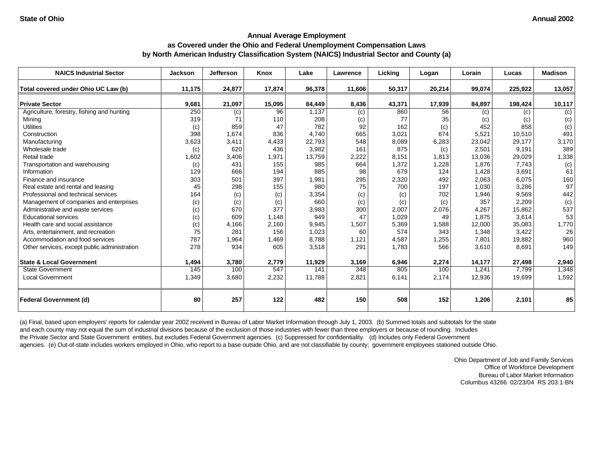| <b>NAICS Industrial Sector</b>                                            | <b>Jackson</b> | <b>Jefferson</b>        | Knox         | Lake            | Lawrence     | Licking        | Logan        | Lorain         | Lucas          | <b>Madison</b> |
|---------------------------------------------------------------------------|----------------|-------------------------|--------------|-----------------|--------------|----------------|--------------|----------------|----------------|----------------|
| Total covered under Ohio UC Law (b)                                       | 11,175         | 24,877                  | 17,874       | 96,378          | 11,606       | 50,317         | 20,214       | 99,074         | 225,922        | 13,057         |
| <b>Private Sector</b>                                                     |                |                         |              |                 |              |                |              |                |                |                |
| Agriculture, forestry, fishing and hunting                                | 9,681<br>250   | 21,097                  | 15,095<br>96 | 84,449<br>1,137 | 8,436        | 43,371<br>860  | 17,939<br>56 | 84,897         | 198,424        | 10,117         |
| Mining                                                                    | 319            | $\left( c\right)$<br>71 | 110          | 208             | (c)          | 77             | 35           | (c)            | (c)<br>(c)     | (c)<br>(c)     |
| <b>Utilities</b>                                                          |                | 859                     | 47           | 782             | (c)<br>92    | 162            |              | (c)<br>452     | 858            |                |
| Construction                                                              | (c)<br>398     | 1,674                   | 836          | 4.740           | 665          | 3,021          | (c)<br>674   | 5,521          | 10,510         | (c)<br>491     |
| Manufacturing                                                             | 3,623          | 3,411                   | 4,433        | 22,793          | 548          | 8,089          | 6,283        | 23,042         | 29,177         | 3,170          |
| Wholesale trade                                                           |                | 620                     | 436          | 3,982           | 161          | 875            |              | 2,501          | 9,191          | 389            |
| Retail trade                                                              | (c)            |                         |              | 13,759          |              |                | (c)<br>1,813 |                |                |                |
|                                                                           | 1,602          | 3,406<br>431            | 1,971        |                 | 2,222<br>664 | 8,151<br>1,372 |              | 13,036         | 29,029         | 1,338          |
| Transportation and warehousing<br>Information                             | (c)<br>129     | 666                     | 155<br>194   | 985<br>885      | 98           | 679            | 1,228<br>124 | 1,876<br>1,428 | 7,743<br>3,691 | (c)<br>61      |
| Finance and insurance                                                     | 303            | 501                     | 397          |                 |              |                | 492          | 2,063          | 6,075          | 160            |
|                                                                           | 45             | 298                     | 155          | 1,981<br>980    | 295<br>75    | 2,320<br>700   | 197          |                | 3,286          | 97             |
| Real estate and rental and leasing<br>Professional and technical services |                |                         |              |                 |              |                |              | 1,030          |                |                |
|                                                                           | 164            | (c)                     | (c)          | 3,354           | (c)          | (c)            | 702          | 1,946          | 9,569          | 442            |
| Management of companies and enterprises                                   | (c)            | (c)                     | (c)          | 660             | (c)          | (c)            | (c)          | 357            | 2,209          | (c)            |
| Administrative and waste services                                         | (c)            | 670                     | 377          | 3,983           | 300          | 2,007          | 2,076        | 4,267          | 15,862         | 537            |
| <b>Educational services</b>                                               | (c)            | 609                     | 1,148        | 949             | 47           | 1,029          | 49           | 1,875          | 3,614          | 53             |
| Health care and social assistance                                         | (c)            | 4,166                   | 2,160        | 9,945           | 1,507        | 5,369          | 1,588        | 12,000         | 35,083         | 1,770          |
| Arts, entertainment, and recreation                                       | 75             | 281                     | 156          | 1,023           | 60           | 574            | 343          | 1,348          | 3,422          | 26             |
| Accommodation and food services                                           | 787            | 1,964                   | 1,469        | 8,788           | 1,121        | 4,587          | 1,255        | 7,801          | 19,882         | 960            |
| Other services, except public administration                              | 278            | 934                     | 605          | 3,518           | 291          | 1,783          | 566          | 3,610          | 8,691          | 149            |
| <b>State &amp; Local Government</b>                                       | 1,494          | 3,780                   | 2,779        | 11,929          | 3,169        | 6,946          | 2,274        | 14,177         | 27,498         | 2,940          |
| <b>State Government</b>                                                   | 145            | 100                     | 547          | 141             | 348          | 805            | 100          | 1,241          | 7.799          | 1,348          |
| <b>Local Government</b>                                                   | 1,349          | 3,680                   | 2,232        | 11,788          | 2,821        | 6,141          | 2,174        | 12,936         | 19,699         | 1,592          |
| <b>Federal Government (d)</b>                                             | 80             | 257                     | 122          | 482             | 150          | 508            | 152          | 1,206          | 2,101          | 85             |

(a) Final, based upon employers' reports for calendar year 2002 received in Bureau of Labor Market Information through July 1, 2003. (b) Summed totals and subtotals for the state and each county may not equal the sum of industrial divisions because of the exclusion of those industries with fewer than three employers or because of rounding. Includes the Private Sector and State Government entities, but excludes Federal Government agencies. (c) Suppressed for confidentiality. (d) Includes only Federal Government agencies. (e) Out-of-state includes workers employed in Ohio, who report to a base outside Ohio, and are not classifiable by county; government employees stationed outside Ohio.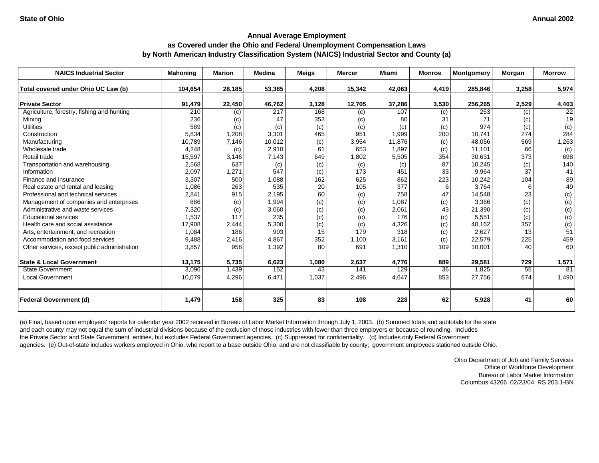| <b>NAICS Industrial Sector</b>               | <b>Mahoning</b> | <b>Marion</b> | <b>Medina</b> | <b>Meigs</b> | <b>Mercer</b> | <b>Miami</b> | <b>Monroe</b> | <b>Montgomery</b> | Morgan | <b>Morrow</b> |
|----------------------------------------------|-----------------|---------------|---------------|--------------|---------------|--------------|---------------|-------------------|--------|---------------|
| Total covered under Ohio UC Law (b)          | 104,654         | 28,185        | 53,385        | 4,208        | 15,342        | 42,063       | 4,419         | 285,846           | 3,258  | 5,974         |
| <b>Private Sector</b>                        | 91,479          | 22,450        | 46,762        | 3,128        | 12,705        | 37,286       | 3,530         | 256,265           | 2,529  | 4,403         |
| Agriculture, forestry, fishing and hunting   | 210             | (c)           | 217           | 168          | (c)           | 107          | (c)           | 253               | (c)    | 22            |
| Mining                                       | 236             | (c)           | 47            | 353          | (c)           | 80           | 31            | 71                | (c)    | 19            |
| <b>Utilities</b>                             | 589             | (c)           | (c)           | (c)          | (c)           | (c)          | (c)           | 974               | (c)    | (c)           |
| Construction                                 | 5,834           | 1,208         | 3,301         | 465          | 951           | 1,999        | 200           | 10,741            | 274    | 284           |
| Manufacturing                                | 10,789          | 7,146         | 10,012        | (c)          | 3,954         | 11,876       | (c)           | 48,056            | 569    | 1,263         |
| Wholesale trade                              | 4,248           | (c)           | 2,910         | 61           | 653           | 1,897        | (c)           | 11,101            | 66     | (c)           |
| Retail trade                                 | 15,597          | 3,146         | 7,143         | 649          | 1,802         | 5,505        | 354           | 30,631            | 373    | 698           |
| Transportation and warehousing               | 2,568           | 637           | (c)           | (c)          | (c)           | (c)          | 87            | 10,245            | (c)    | 140           |
| Information                                  | 2,097           | 1,271         | 547           | (c)          | 173           | 451          | 33            | 9,964             | 37     | 41            |
| Finance and insurance                        | 3,307           | 500           | 1,088         | 162          | 625           | 862          | 223           | 10,242            | 104    | 89            |
| Real estate and rental and leasing           | 1,086           | 263           | 535           | 20           | 105           | 377          | 6             | 3,764             | 6      | 49            |
| Professional and technical services          | 2,841           | 915           | 2,195         | 60           | (c)           | 758          | 47            | 14,548            | 23     | (c)           |
| Management of companies and enterprises      | 886             | (c)           | 1,994         | (c)          | (c)           | 1,087        | (c)           | 3,366             | (c)    | (c)           |
| Administrative and waste services            | 7,320           | (c)           | 3,060         | (c)          | (c)           | 2,061        | 43            | 21,390            | (c)    | (c)           |
| <b>Educational services</b>                  | 1,537           | 117           | 235           | (c)          | (c)           | 176          | (c)           | 5,551             | (c)    | (c)           |
| Health care and social assistance            | 17,908          | 2,444         | 5,300         | (c)          | (c)           | 4,326        | (c)           | 40,162            | 357    | (c)           |
| Arts, entertainment, and recreation          | 1,084           | 186           | 993           | 15           | 179           | 318          | (c)           | 2,627             | 13     | 51            |
| Accommodation and food services              | 9,488           | 2,416         | 4,867         | 352          | 1,100         | 3,161        | (c)           | 22,579            | 225    | 459           |
| Other services, except public administration | 3,857           | 958           | 1,392         | 80           | 691           | 1,310        | 109           | 10,001            | 40     | 60            |
| <b>State &amp; Local Government</b>          | 13,175          | 5,735         | 6,623         | 1,080        | 2,637         | 4,776        | 889           | 29,581            | 729    | 1,571         |
| <b>State Government</b>                      | 3,096           | 1,439         | 152           | 43           | 141           | 129          | 36            | 1,825             | 55     | 81            |
| <b>Local Government</b>                      | 10,079          | 4,296         | 6,471         | 1,037        | 2,496         | 4,647        | 853           | 27,756            | 674    | 1,490         |
| <b>Federal Government (d)</b>                | 1,479           | 158           | 325           | 83           | 108           | 228          | 62            | 5,928             | 41     | 60            |

(a) Final, based upon employers' reports for calendar year 2002 received in Bureau of Labor Market Information through July 1, 2003. (b) Summed totals and subtotals for the state and each county may not equal the sum of industrial divisions because of the exclusion of those industries with fewer than three employers or because of rounding. Includes the Private Sector and State Government entities, but excludes Federal Government agencies. (c) Suppressed for confidentiality. (d) Includes only Federal Government agencies. (e) Out-of-state includes workers employed in Ohio, who report to a base outside Ohio, and are not classifiable by county; government employees stationed outside Ohio.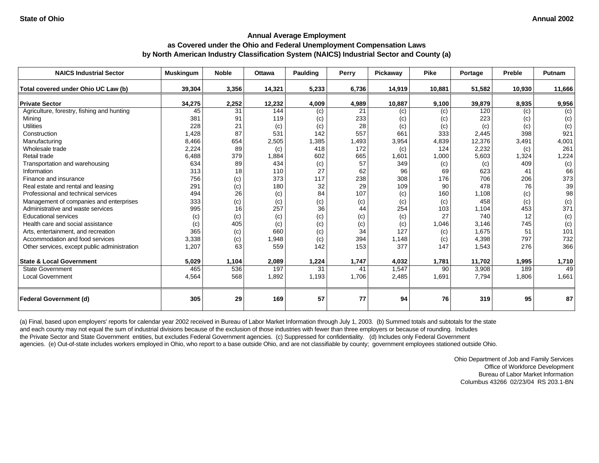| <b>NAICS Industrial Sector</b>               | <b>Muskingum</b> | <b>Noble</b> | <b>Ottawa</b> | <b>Paulding</b> | Perry | Pickaway | <b>Pike</b> | Portage | Preble | Putnam         |
|----------------------------------------------|------------------|--------------|---------------|-----------------|-------|----------|-------------|---------|--------|----------------|
| Total covered under Ohio UC Law (b)          | 39,304           | 3,356        | 14,321        | 5,233           | 6,736 | 14,919   | 10,881      | 51,582  | 10,930 | 11,666         |
| <b>Private Sector</b>                        | 34,275           | 2,252        | 12,232        | 4,009           | 4,989 | 10,887   | 9,100       | 39,879  | 8,935  | 9,956          |
| Agriculture, forestry, fishing and hunting   | 45               | 31           | 144           | (c)             | 21    | (c)      | (c)         | 120     | (c)    | $\overline{c}$ |
| Mining                                       | 381              | 91           | 119           | (c)             | 233   | (c)      | (c)         | 223     | (c)    | (c)            |
| <b>Utilities</b>                             | 228              | 21           | (c)           | (c)             | 28    | (c)      | (c)         | (c)     | (c)    | (c)            |
| Construction                                 | 1,428            | 87           | 531           | 142             | 557   | 661      | 333         | 2,445   | 398    | 921            |
| Manufacturing                                | 8,466            | 654          | 2,505         | 1,385           | 1.493 | 3,954    | 4,839       | 12,376  | 3,491  | 4,001          |
| Wholesale trade                              | 2,224            | 89           | (c)           | 418             | 172   | (c)      | 124         | 2,232   | (c)    | 261            |
| Retail trade                                 | 6,488            | 379          | 1,884         | 602             | 665   | 1,601    | 1,000       | 5,603   | 1,324  | 1,224          |
| Transportation and warehousing               | 634              | 89           | 434           | (c)             | 57    | 349      | (c)         | (c)     | 409    | (c)            |
| Information                                  | 313              | 18           | 110           | 27              | 62    | 96       | 69          | 623     | 41     | 66             |
| Finance and insurance                        | 756              | (c)          | 373           | 117             | 238   | 308      | 176         | 706     | 206    | 373            |
| Real estate and rental and leasing           | 291              | (c)          | 180           | 32              | 29    | 109      | 90          | 478     | 76     | 39             |
| Professional and technical services          | 494              | 26           | (c)           | 84              | 107   | (c)      | 160         | 1,108   | (c)    | 98             |
| Management of companies and enterprises      | 333              | (c)          | (c)           | (c)             | (c)   | (c)      | (c)         | 458     | (c)    | (c)            |
| Administrative and waste services            | 995              | 16           | 257           | 36              | 44    | 254      | 103         | 1,104   | 453    | 371            |
| <b>Educational services</b>                  | (c)              | (c)          | (c)           | (c)             | (c)   | (c)      | 27          | 740     | 12     | (c)            |
| Health care and social assistance            | (c)              | 405          | (c)           | (c)             | (c)   | (c)      | 1,046       | 3,146   | 745    | (c)            |
| Arts, entertainment, and recreation          | 365              | (c)          | 660           | (c)             | 34    | 127      | (c)         | 1,675   | 51     | 101            |
| Accommodation and food services              | 3,338            | (c)          | 1,948         | (c)             | 394   | 1,148    | (c)         | 4,398   | 797    | 732            |
| Other services, except public administration | 1,207            | 63           | 559           | 142             | 153   | 377      | 147         | 1,543   | 276    | 366            |
| <b>State &amp; Local Government</b>          | 5,029            | 1,104        | 2,089         | 1,224           | 1,747 | 4,032    | 1,781       | 11,702  | 1,995  | 1,710          |
| <b>State Government</b>                      | 465              | 536          | 197           | 31              | 41    | 1,547    | 90          | 3,908   | 189    | 49             |
| <b>Local Government</b>                      | 4,564            | 568          | 1,892         | 1,193           | 1.706 | 2,485    | 1,691       | 7,794   | 1,806  | 1,661          |
| <b>Federal Government (d)</b>                | 305              | 29           | 169           | 57              | 77    | 94       | 76          | 319     | 95     | 87             |

(a) Final, based upon employers' reports for calendar year 2002 received in Bureau of Labor Market Information through July 1, 2003. (b) Summed totals and subtotals for the state and each county may not equal the sum of industrial divisions because of the exclusion of those industries with fewer than three employers or because of rounding. Includes the Private Sector and State Government entities, but excludes Federal Government agencies. (c) Suppressed for confidentiality. (d) Includes only Federal Government agencies. (e) Out-of-state includes workers employed in Ohio, who report to a base outside Ohio, and are not classifiable by county; government employees stationed outside Ohio.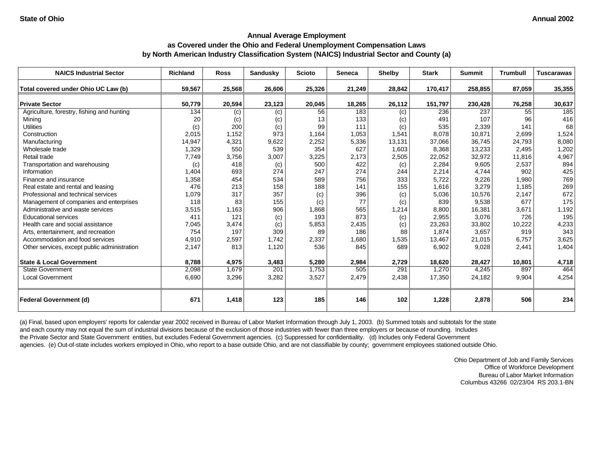| <b>NAICS Industrial Sector</b>               | <b>Richland</b> | <b>Ross</b> | <b>Sandusky</b> | <b>Scioto</b> | <b>Seneca</b> | <b>Shelby</b> | <b>Stark</b> | <b>Summit</b> | <b>Trumbull</b> | <b>Tuscarawas</b> |
|----------------------------------------------|-----------------|-------------|-----------------|---------------|---------------|---------------|--------------|---------------|-----------------|-------------------|
| Total covered under Ohio UC Law (b)          | 59,567          | 25,568      | 26,606          | 25,326        | 21,249        | 28,842        | 170,417      | 258,855       | 87,059          | 35,355            |
| <b>Private Sector</b>                        | 50,779          | 20,594      | 23,123          | 20,045        | 18,265        | 26,112        | 151,797      | 230,428       | 76,258          | 30,637            |
| Agriculture, forestry, fishing and hunting   | 134             | (c)         | (c)             | 56            | 183           | (c)           | 236          | 237           | 55              | 185               |
| Mining                                       | 20              | (c)         | (c)             | 13            | 133           | (c)           | 491          | 107           | 96              | 416               |
| <b>Utilities</b>                             | (c)             | 200         | (c)             | 99            | 111           | (c)           | 535          | 2,339         | 141             | 68                |
| Construction                                 | 2,015           | 1,152       | 973             | 1,164         | 1.053         | 1,541         | 8.078        | 10,871        | 2,699           | 1,524             |
| Manufacturing                                | 14,947          | 4,321       | 9,622           | 2,252         | 5,336         | 13,131        | 37,066       | 36,745        | 24,793          | 8,080             |
| Wholesale trade                              | 1,329           | 550         | 539             | 354           | 627           | 1,603         | 8,368        | 13,233        | 2,495           | 1,202             |
| Retail trade                                 | 7,749           | 3,756       | 3,007           | 3,225         | 2,173         | 2,505         | 22,052       | 32,972        | 11,816          | 4,967             |
| Transportation and warehousing               | (c)             | 418         | (c)             | 500           | 422           | (c)           | 2,284        | 9,605         | 2,537           | 894               |
| Information                                  | 1,404           | 693         | 274             | 247           | 274           | 244           | 2,214        | 4,744         | 902             | 425               |
| Finance and insurance                        | 1,358           | 454         | 534             | 589           | 756           | 333           | 5,722        | 9,226         | 1,980           | 769               |
| Real estate and rental and leasing           | 476             | 213         | 158             | 188           | 141           | 155           | 1,616        | 3,279         | 1,185           | 269               |
| Professional and technical services          | 1,079           | 317         | 357             | (c)           | 396           | (c)           | 5,036        | 10,576        | 2,147           | 672               |
| Management of companies and enterprises      | 118             | 83          | 155             | (c)           | 77            | (c)           | 839          | 9,538         | 677             | 175               |
| Administrative and waste services            | 3,515           | 1,163       | 906             | 1,868         | 565           | 1,214         | 8,800        | 16,381        | 3,671           | 1,192             |
| <b>Educational services</b>                  | 411             | 121         | (c)             | 193           | 873           | (c)           | 2,955        | 3,076         | 726             | 195               |
| Health care and social assistance            | 7,045           | 3,474       | (c)             | 5,853         | 2,435         | (c)           | 23,263       | 33,802        | 10,222          | 4,233             |
| Arts, entertainment, and recreation          | 754             | 197         | 309             | 89            | 186           | 88            | 1.874        | 3,657         | 919             | 343               |
| Accommodation and food services              | 4,910           | 2,597       | 1,742           | 2,337         | 1,680         | 1,535         | 13,467       | 21,015        | 6,757           | 3,625             |
| Other services, except public administration | 2,147           | 813         | 1,120           | 536           | 845           | 689           | 6,902        | 9,028         | 2,441           | 1,404             |
| <b>State &amp; Local Government</b>          | 8,788           | 4,975       | 3,483           | 5,280         | 2,984         | 2,729         | 18,620       | 28,427        | 10,801          | 4,718             |
| <b>State Government</b>                      | 2,098           | 1,679       | 201             | 1,753         | 505           | 291           | 1.270        | 4,245         | 897             | 464               |
| <b>Local Government</b>                      | 6,690           | 3,296       | 3,282           | 3,527         | 2,479         | 2,438         | 17,350       | 24,182        | 9,904           | 4,254             |
| <b>Federal Government (d)</b>                | 671             | 1,418       | 123             | 185           | 146           | 102           | 1,228        | 2,878         | 506             | 234               |

(a) Final, based upon employers' reports for calendar year 2002 received in Bureau of Labor Market Information through July 1, 2003. (b) Summed totals and subtotals for the state and each county may not equal the sum of industrial divisions because of the exclusion of those industries with fewer than three employers or because of rounding. Includes the Private Sector and State Government entities, but excludes Federal Government agencies. (c) Suppressed for confidentiality. (d) Includes only Federal Government agencies. (e) Out-of-state includes workers employed in Ohio, who report to a base outside Ohio, and are not classifiable by county; government employees stationed outside Ohio.